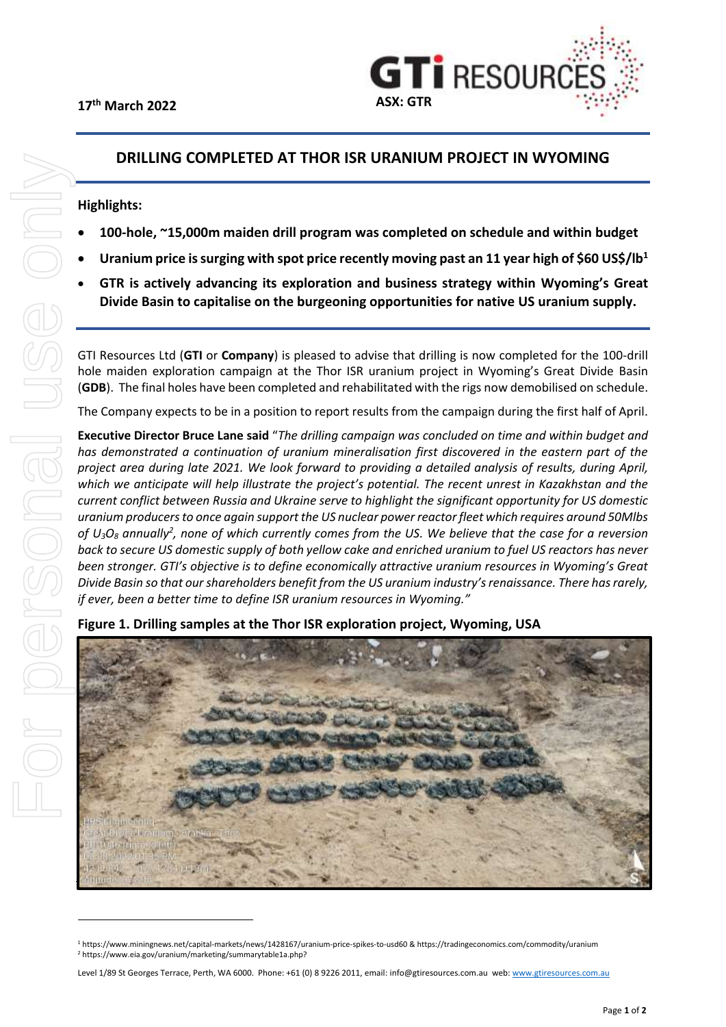

# **DRILLING COMPLETED AT THOR ISR URANIUM PROJECT IN WYOMING**

## **Highlights:**

- **100-hole, ~15,000m maiden drill program was completed on schedule and within budget**
- **Uranium price is surging with spot price recently moving past an 11 year high of \$60 US\$/lb<sup>1</sup>**
- **GTR is actively advancing its exploration and business strategy within Wyoming's Great Divide Basin to capitalise on the burgeoning opportunities for native US uranium supply.**

GTI Resources Ltd (**GTI** or **Company**) is pleased to advise that drilling is now completed for the 100-drill hole maiden exploration campaign at the Thor ISR uranium project in Wyoming's Great Divide Basin (**GDB**). The final holes have been completed and rehabilitated with the rigs now demobilised on schedule.

The Company expects to be in a position to report results from the campaign during the first half of April.

**Executive Director Bruce Lane said** "*The drilling campaign was concluded on time and within budget and has demonstrated a continuation of uranium mineralisation first discovered in the eastern part of the project area during late 2021. We look forward to providing a detailed analysis of results, during April, which we anticipate will help illustrate the project's potential. The recent unrest in Kazakhstan and the current conflict between Russia and Ukraine serve to highlight the significant opportunity for US domestic uranium producers to once again support the US nuclear power reactor fleet which requires around 50Mlbs of U3O<sup>8</sup> annually<sup>2</sup> , none of which currently comes from the US. We believe that the case for a reversion back to secure US domestic supply of both yellow cake and enriched uranium to fuel US reactors has never been stronger. GTI's objective is to define economically attractive uranium resources in Wyoming's Great Divide Basin so that our shareholders benefit from the US uranium industry's renaissance. There has rarely, if ever, been a better time to define ISR uranium resources in Wyoming."*



**Figure 1. Drilling samples at the Thor ISR exploration project, Wyoming, USA**

<sup>1</sup> https://www.miningnews.net/capital-markets/news/1428167/uranium-price-spikes-to-usd60 & https://tradingeconomics.com/commodity/uranium <sup>2</sup> https://www.eia.gov/uranium/marketing/summarytable1a.php?

Level 1/89 St Georges Terrace, Perth, WA 6000. Phone: +61 (0) 8 9226 2011, email: [info@gtiresources.com.au](mailto:info@gtiresources.com.au) web[: www.gtiresources.com.au](http://www.gtiresources.com.au/)